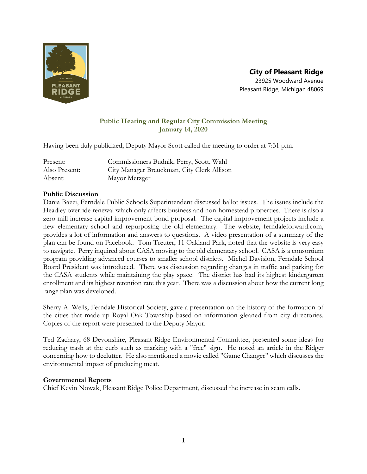

# **Public Hearing and Regular City Commission Meeting January 14, 2020**

Having been duly publicized, Deputy Mayor Scott called the meeting to order at 7:31 p.m.

| Present:      | Commissioners Budnik, Perry, Scott, Wahl   |
|---------------|--------------------------------------------|
| Also Present: | City Manager Breuckman, City Clerk Allison |
| Absent:       | Mayor Metzger                              |

## **Public Discussion**

Dania Bazzi, Ferndale Public Schools Superintendent discussed ballot issues. The issues include the Headley override renewal which only affects business and non-homestead properties. There is also a zero mill increase capital improvement bond proposal. The capital improvement projects include a new elementary school and repurposing the old elementary. The website, ferndaleforward.com, provides a lot of information and answers to questions. A video presentation of a summary of the plan can be found on Facebook. Tom Treuter, 11 Oakland Park, noted that the website is very easy to navigate. Perry inquired about CASA moving to the old elementary school. CASA is a consortium program providing advanced courses to smaller school districts. Michel Davision, Ferndale School Board President was introduced. There was discussion regarding changes in traffic and parking for the CASA students while maintaining the play space. The district has had its highest kindergarten enrollment and its highest retention rate this year. There was a discussion about how the current long range plan was developed.

Sherry A. Wells, Ferndale Historical Society, gave a presentation on the history of the formation of the cities that made up Royal Oak Township based on information gleaned from city directories. Copies of the report were presented to the Deputy Mayor.

Ted Zachary, 68 Devonshire, Pleasant Ridge Environmental Committee, presented some ideas for reducing trash at the curb such as marking with a "free" sign. He noted an article in the Ridger concerning how to declutter. He also mentioned a movie called "Game Changer" which discusses the environmental impact of producing meat.

## **Governmental Reports**

Chief Kevin Nowak, Pleasant Ridge Police Department, discussed the increase in scam calls.